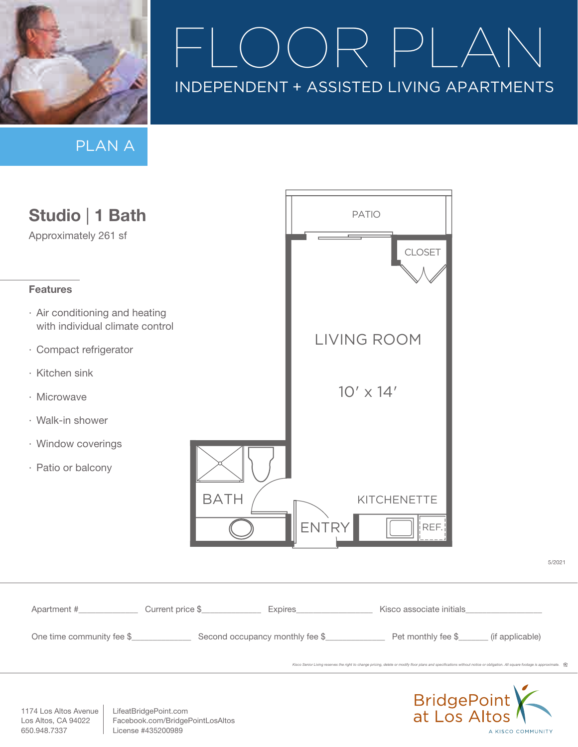

# $\Box$ FLO $\Box$ INDEPENDENT + ASSISTED LIVING APARTMENTS

A KISCO COMMUNITY

PLAN A



1174 Los Altos Avenue Los Altos, CA 94022 650.948.7337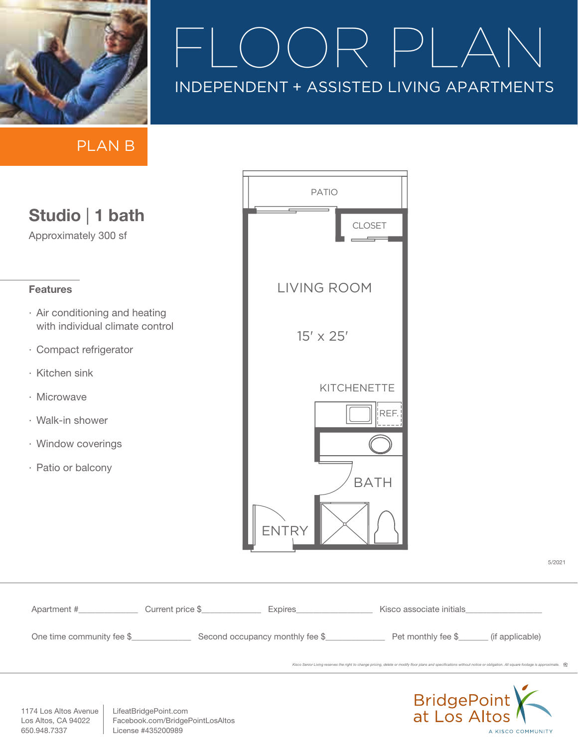

*Kisco Senior Living reserves the right to change pricing, delete or modify floor plans and specifications without notice or obligation. All square footage is approximate.* 

A KISCO COMMUNITY

5/2021

PLAN B

| Studio   1 bath<br>Approximately 300 sf                                                                                                                                                      | <b>PATIO</b>                     | <b>CLOSET</b>                                                                                                                                                     |             |
|----------------------------------------------------------------------------------------------------------------------------------------------------------------------------------------------|----------------------------------|-------------------------------------------------------------------------------------------------------------------------------------------------------------------|-------------|
| <b>Features</b>                                                                                                                                                                              | <b>LIVING ROOM</b>               |                                                                                                                                                                   |             |
| · Air conditioning and heating<br>with individual climate control<br>· Compact refrigerator<br>· Kitchen sink<br>· Microwave<br>· Walk-in shower<br>· Window coverings<br>· Patio or balcony | $15' \times 25'$<br><b>ENTRY</b> | KITCHENETTE<br>REF.<br><b>BATH</b>                                                                                                                                |             |
| Apartment # Current price \$ __________ Expires ________ Kisco associate initials                                                                                                            |                                  |                                                                                                                                                                   |             |
| LifeatBridgePoint.com<br>1174 Los Altos Avenue<br>Facebook.com/BridgePointLosAltos<br>Los Altos, CA 94022                                                                                    |                                  | Kisco Senior Living reserves the right to change pricing, delete or modify floor plans and specifications without notice or obligation. All square footage is app | BridgePoint |

1174 Los Altos Avenue Los Altos, CA 94022 650.948.7337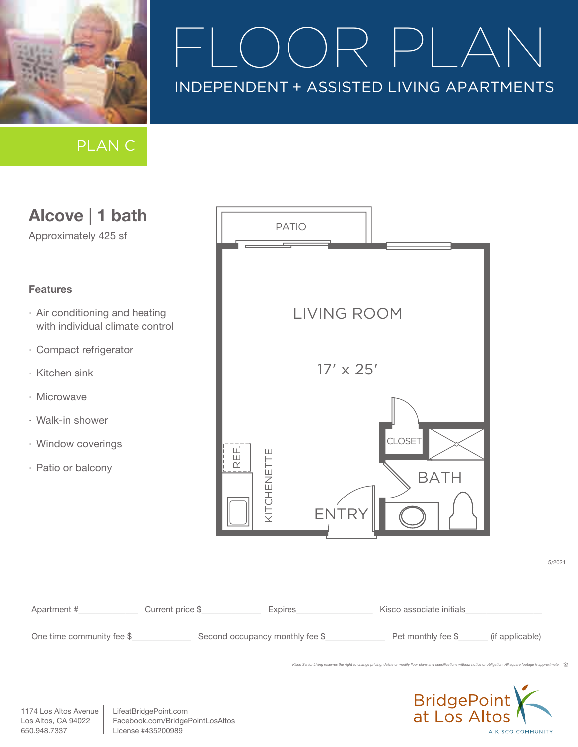

## $\Box$ INDEPENDENT + ASSISTED LIVING APARTMENTS

PLAN C



1174 Los Altos Avenue Los Altos, CA 94022 650.948.7337

LifeatBridgePoint.com Facebook.com/BridgePointLosAltos License #435200989

A KISCO COMMUNITY

5/2021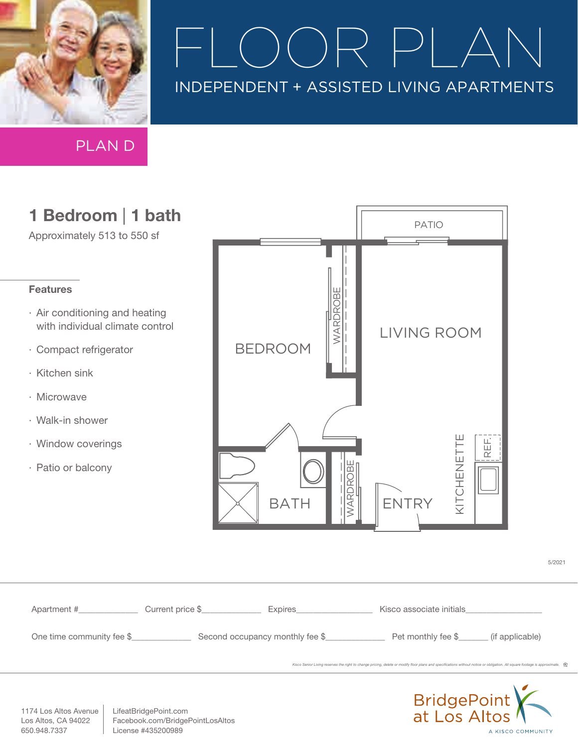

# $\rightarrow$   $\mid$ INDEPENDENT + ASSISTED LIVING APARTMENTS

PLAN D

### 1 Bedroom | 1 bath

Approximately 513 to 550 sf

#### Features

- · Air conditioning and heating with individual climate control
- · Compact refrigerator
- · Kitchen sink
- · Microwave
- · Walk-in shower
- · Window coverings
- · Patio or balcony



| Apartment #               | Current price \$ | Expires_______________          | Kisco associate initials Nisconsing Services                                                                                                                               |  |
|---------------------------|------------------|---------------------------------|----------------------------------------------------------------------------------------------------------------------------------------------------------------------------|--|
| One time community fee \$ |                  | Second occupancy monthly fee \$ | Pet monthly fee \$_________ (if applicable)                                                                                                                                |  |
|                           |                  |                                 | Kisco Senior Living reserves the right to change pricing, delete or modify floor plans and specifications without notice or obligation. All square footage is approximate. |  |
|                           |                  |                                 |                                                                                                                                                                            |  |



5/2021

1174 Los Altos Avenue Los Altos, CA 94022 650.948.7337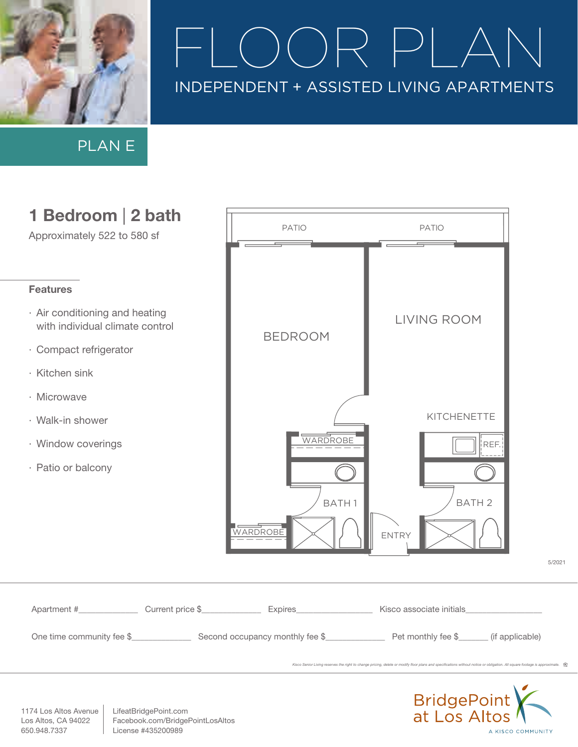

PLAN E



1174 Los Altos Avenue Los Altos, CA 94022 650.948.7337

LifeatBridgePoint.com Facebook.com/BridgePointLosAltos License #435200989

A KISCO COMMUNITY

5/2021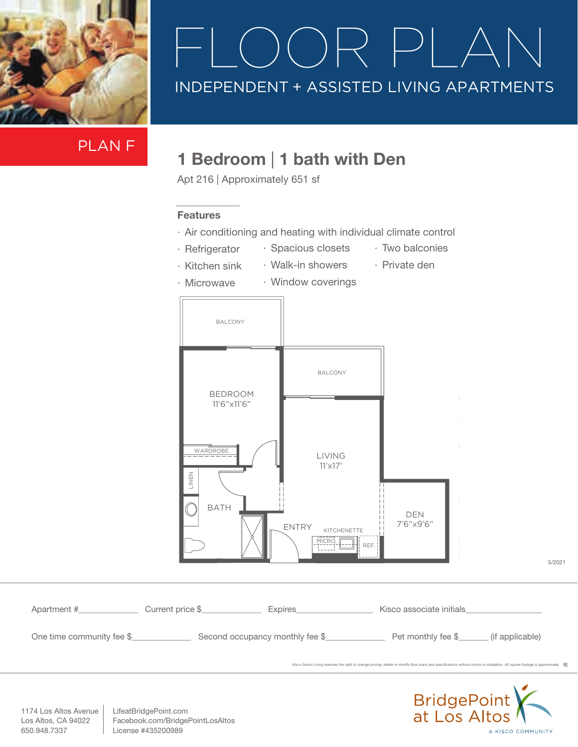

PLAN F

#### 1 Bedroom | 1 bath with Den

Apt 216 | Approximately 651 sf

#### Features

- · Air conditioning and heating with individual climate control
- · Refrigerator
- · Spacious closets
- · Two balconies

- · Kitchen sink
- · Walk-in showers
- · Private den
- · Microwave · Window coverings

Apartment #\_\_\_\_\_\_\_\_\_\_\_\_\_\_ Current price \$\_\_\_\_\_\_\_\_\_\_\_\_\_\_ Expires\_\_\_\_\_\_\_\_\_\_\_\_\_\_\_\_\_\_ Kisco associate initials\_\_\_\_\_\_\_\_\_\_\_\_\_\_\_\_\_\_ One time community fee \$\_\_\_\_\_\_\_\_\_\_\_\_\_\_\_\_\_ Second occupancy monthly fee \$\_\_\_\_\_\_\_\_\_\_\_\_\_\_\_\_\_\_\_\_\_\_\_\_\_\_\_ (if applicable) 5/2021 17'6"x11'6" LIVING 11'x17' DEN 7'6"x9'6" ENTRY (651 Sq.Ft.) Unit 213 Sq.Ft.) Unit 213 Sq.Ft. BATH KITCHENETTE LINEN BALCONY BALCONY **WARDROBE** REF. MICRO. BEDROOM 11'6"x11'6"

Kisco Senior Living reserves the right to change pricing, delete or modify floor plans and specifications without notice or obligation. All square footage is approximate.



1174 Los Altos Avenue Los Altos, CA 94022 650.948.7337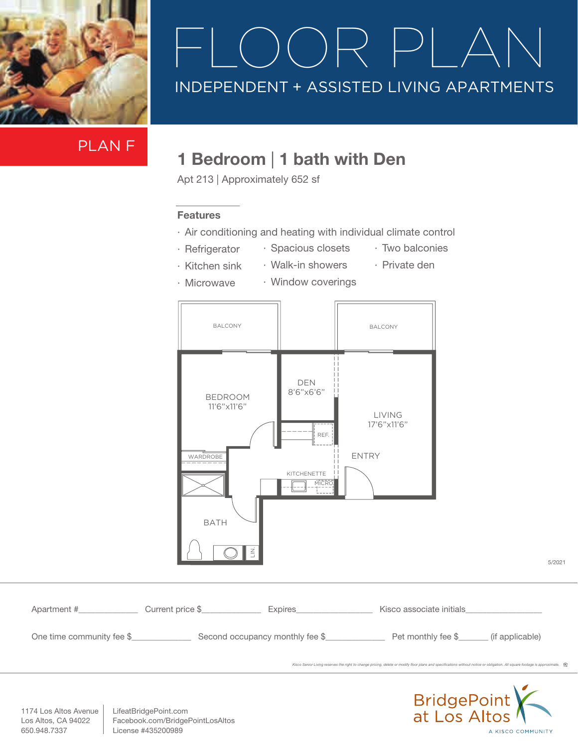

## $\Box$ INDEPENDENT + ASSISTED LIVING APARTMENTS

PLAN F

### 1 Bedroom | 1 bath with Den

Apt 213 | Approximately 652 sf

#### Features

- · Air conditioning and heating with individual climate control
- · Refrigerator
- · Spacious closets · Walk-in showers
- · Two balconies · Private den
- · Kitchen sink
- · Window coverings



| Apartment #               | Current price \$                | Expires | Kisco associate initials |                 |
|---------------------------|---------------------------------|---------|--------------------------|-----------------|
| One time community fee \$ | Second occupancy monthly fee \$ |         | Pet monthly fee \$       | (if applicable) |

*Kisco Senior Living reserves the right to change pricing, de* 



5/2021

1174 Los Altos Avenue Los Altos, CA 94022 650.948.7337

KISCO SENIOR LIVING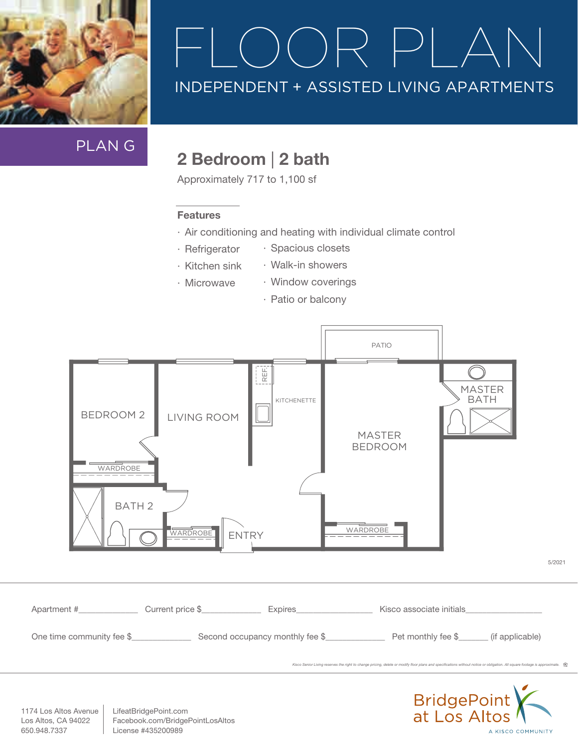

PLAN G

### 2 Bedroom | 2 bath

Approximately 717 to 1,100 sf

#### Features

- · Air conditioning and heating with individual climate control
- · Refrigerator · Spacious closets
- · Kitchen sink · Walk-in showers
- · Microwave
- · Window coverings
- · Patio or balcony





1174 Los Altos Avenue Los Altos, CA 94022 650.948.7337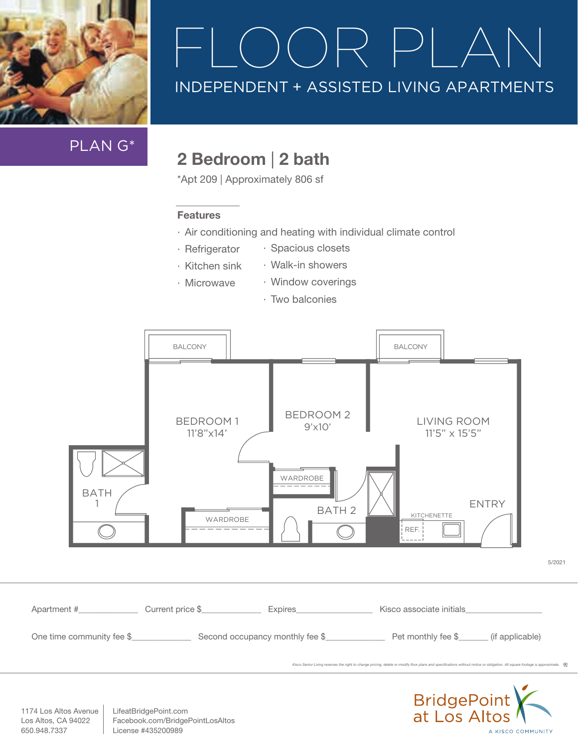

PLAN G\*

### 2 Bedroom | 2 bath

\*Apt 209 | Approximately 806 sf

#### Features

- · Air conditioning and heating with individual climate control
- · Refrigerator · Spacious closets
- · Kitchen sink · Walk-in showers
- · Microwave
- · Two balconies

· Window coverings



BridgePoint<br>at Los Altos A KISCO COMMUNITY

5/2021

1174 Los Altos Avenue Los Altos, CA 94022 650.948.7337